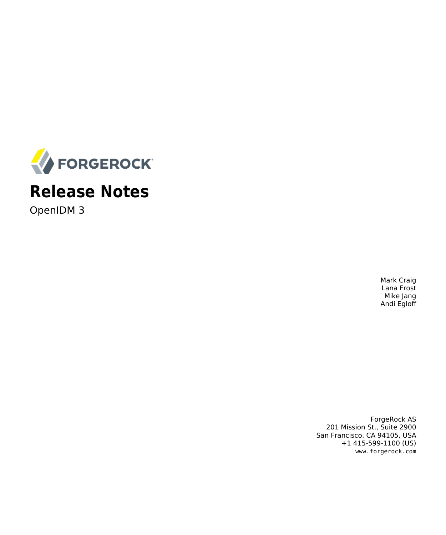

# **Release Notes**

OpenIDM 3

Mark Craig Lana Frost Mike Jang Andi Egloff

ForgeRock AS 201 Mission St., Suite 2900 San Francisco, CA 94105, USA +1 415-599-1100 (US) www.forgerock.com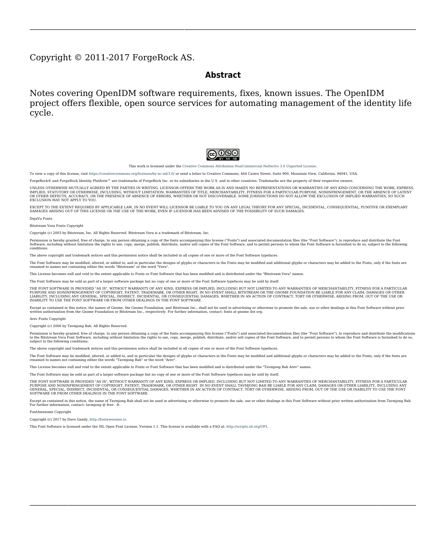### Copyright © 2011-2017 ForgeRock AS.

#### **Abstract**

Notes covering OpenIDM software requirements, fixes, known issues. The OpenIDM project offers flexible, open source services for automating management of the identity life cycle.



This work is licensed under the [Creative Commons Attribution-NonCommercial-NoDerivs 3.0 Unported License.](https://creativecommons.org/licenses/by-nc-nd/3.0/)

To view a copy of this license, visit <https://creativecommons.org/licenses/by-nc-nd/3.0/> or send a letter to Creative Commons, 444 Castro Street, Suite 900, Mountain View, California, 94041, USA.

ForgeRock® and ForgeRock Identity Platform™ are trademarks of ForgeRock Inc. or its subsidiaries in the U.S. and in other countries. Trademarks are the property of their respective owners

UNLESS OTHERWISE MUTUALLY AGREED BY THE PARTIES IN WRITING, LICENSOR OFFERS THE WORK AS-IS AND MAKES NO REPRESENTATIONS OR WARRANTIES OF ANY KIND CONCERNING THE WORK, EXPRESS, THE WARRANTIES OF ANY KIND CONCERNING THE WORK IMPLIED, STATUTORY OR OTHERWISE, INCLUDING, WITHOUT LIMITATION, WARRANTIES OF TITLE, MERCHANTABILITY, FITNESS FOR A PARTICULAR PURPOSE, NONINFRINGEMENT, OR THE ABSENCE OF LATENT<br>OR OTHER DEFECTS, ACCURACY, OR THE PRESENCE

EXCEPT TO THE EXTENT REQUIRED BY APPLICABLE LAW, IN NO EVENT WILL LICENSOR BE LIABLE TO YOU ON ANY LEGAL THEORY FOR ANY ISLOCKERT ALLOCATED TO THE STATE ON SERVENTIAL, PONCE OUR DESTANDING OUR EXEMPLARY ON SERVER THAN A ST

DejaVu Fonts

Bitstream Vera Fonts Copyright

Copyright (c) 2003 by Bitstream, Inc. All Rights Reserved. Bitstream Vera is a trademark of Bitstream, Inc.

Permission is hereby granted, free of charge, to any person obtaining a copy of the fonts accompanying this license ("Fonts") and associated documentation files ("hent" Font Software, including without immushed to do so, s conditions:

The above copyright and trademark notices and this permission notice shall be included in all copies of one or more of the Font Software typefaces.

The Font Software may be modified, altered, or added to, and in particular the designs of glyphs or characters in the Fonts may be modified and additional glyphs or characters may be added to the Fonts, only if the fonts a renamed to names not containing either the words "Bitstream" or the word "Vera".

This License becomes null and void to the extent applicable to Fonts or Font Software that has been modified and is distributed under the "Bitstream Vera" names.

The Font Software may be sold as part of a larger software package but no copy of one or more of the Font Software typefaces may be sold by itself.

THE FONT SOFTWARE IS PROVIDED "AS IS", WITHOUT WARRANTY OF ANN KNO. EXPRESS OR IMPLIED, MANUTHED TO ANY WARRANTES OF MERCHANTABILITY, FITNESS FOR A PARTICULARY INCOLLED THE SURFACT AND THE SURFACT AND NOT A THE SURFACT AND

Except as contained in this notice, the names of Gnome, the Gnome Foundation, and Bitstream Inc., shall not be used in advertising or otherwise to promote the sale, use or other dealings in this Font Software without prior

Arev Fonts Copyright

Copyright (c) 2006 by Tavmjong Bah. All Rights Reserved.

Permission is hereby granted, free of charge, to any person obtaining a copy of the fonts accompanying this license ("Fonts") and associated occumentation files (the "Font Software"), to reproduce and distribution Wersell subject to the following conditions:

The above copyright and trademark notices and this permission notice shall be included in all copies of one or more of the Font Software typefaces.

The Font Software may be modified, altered, or added to, and in particular the designs of glyphs or characters in the Fonts may be modified and additional glyphs or characters may be added to the Fonts, only if the fonts a

This License becomes null and void to the extent applicable to Fonts or Font Software that has been modified and is distributed under the "Tavmjong Bah Arev" name

The Font Software may be sold as part of a larger software package but no copy of one or more of the Font Software typefaces may be sold by itsel

THE FONT SOFTWARE IS PROVIDED "AS IS", WITHOUT WARRANTY OF ANY KIND, EXPRESS OR IMPLIED, INCLUDING BUT NOT LIMITED TO ANY WARRANTIES OF MERCHANTABILITY, FITNESS FOR A PARTICULAR PURPOSE AND NONINFRINGEMENT OF COPYRIGHT, TRADEMARK, OR OTHER RIGHT. IN NO EVENT SHAL TAVMJONG BAH BE LIABLE FOR ANY CLAM, DAMAGES OR OTHER LIABILITY, INCLUDING ANY MELL THE THE USE OR INABILITY TO USE THE FONT<br>GENERAL, SP SOFTWARE OR FROM OTHER DEALINGS IN THE FONT SOFTWARE.

Except as contained in this notice, the name of Tavmjong Bah shall not be used in advertising or otherwise to promote the sale, use or other dealings in this Font Software without prior written authorization from Tavmjong For further information, contact: tavmjong @ free . fr.

FontAwesome Copyright

Copyright (c) 2017 by Dave Gandy, [http://fontawesome.io.](http://fontawesome.io)

This Font Software is licensed under the SIL Open Font License, Version 1.1. This license is available with a FAQ at:<http://scripts.sil.org/OFL>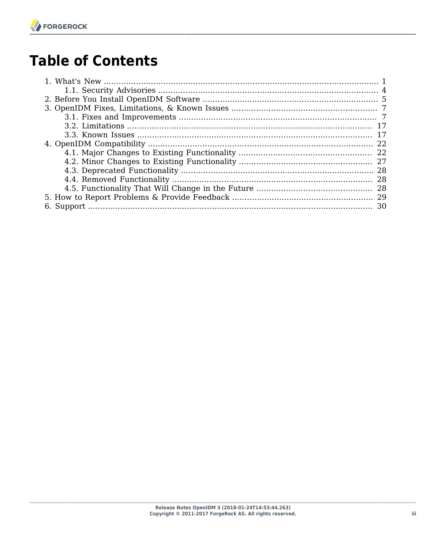# **Table of Contents**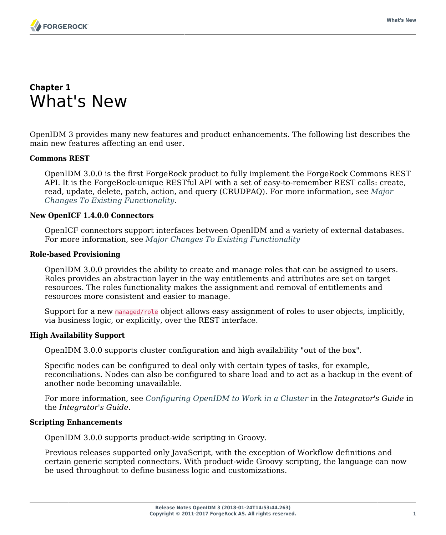### <span id="page-3-0"></span>**Chapter 1** What's New

OpenIDM 3 provides many new features and product enhancements. The following list describes the main new features affecting an end user.

### **Commons REST**

OpenIDM 3.0.0 is the first ForgeRock product to fully implement the ForgeRock Commons REST API. It is the ForgeRock-unique RESTful API with a set of easy-to-remember REST calls: create, read, update, delete, patch, action, and query (CRUDPAQ). For more information, see *[Major](#page-24-1) [Changes To Existing Functionality](#page-24-1)*.

### **New OpenICF 1.4.0.0 Connectors**

OpenICF connectors support interfaces between OpenIDM and a variety of external databases. For more information, see *[Major Changes To Existing Functionality](#page-24-1)*

### **Role-based Provisioning**

OpenIDM 3.0.0 provides the ability to create and manage roles that can be assigned to users. Roles provides an abstraction layer in the way entitlements and attributes are set on target resources. The roles functionality makes the assignment and removal of entitlements and resources more consistent and easier to manage.

Support for a new managed/role object allows easy assignment of roles to user objects, implicitly, via business logic, or explicitly, over the REST interface.

### **High Availability Support**

OpenIDM 3.0.0 supports cluster configuration and high availability "out of the box".

Specific nodes can be configured to deal only with certain types of tasks, for example, reconciliations. Nodes can also be configured to share load and to act as a backup in the event of another node becoming unavailable.

For more information, see *Configuring OpenIDM to Work in a Cluster* in the *Integrator's Guide* in the *Integrator's Guide*.

### **Scripting Enhancements**

OpenIDM 3.0.0 supports product-wide scripting in Groovy.

Previous releases supported only JavaScript, with the exception of Workflow definitions and certain generic scripted connectors. With product-wide Groovy scripting, the language can now be used throughout to define business logic and customizations.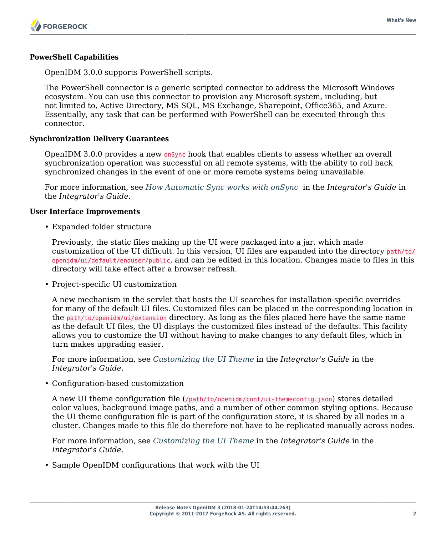### **PowerShell Capabilities**

OpenIDM 3.0.0 supports PowerShell scripts.

The PowerShell connector is a generic scripted connector to address the Microsoft Windows ecosystem. You can use this connector to provision any Microsoft system, including, but not limited to, Active Directory, MS SQL, MS Exchange, Sharepoint, Office365, and Azure. Essentially, any task that can be performed with PowerShell can be executed through this connector.

### **Synchronization Delivery Guarantees**

OpenIDM 3.0.0 provides a new on *Sync* hook that enables clients to assess whether an overall synchronization operation was successful on all remote systems, with the ability to roll back synchronized changes in the event of one or more remote systems being unavailable.

For more information, see *How Automatic Sync works with onSync* in the *Integrator's Guide* in the *Integrator's Guide*.

#### **User Interface Improvements**

• Expanded folder structure

Previously, the static files making up the UI were packaged into a jar, which made customization of the UI difficult. In this version, UI files are expanded into the directory path/to/ openidm/ui/default/enduser/public, and can be edited in this location. Changes made to files in this directory will take effect after a browser refresh.

• Project-specific UI customization

A new mechanism in the servlet that hosts the UI searches for installation-specific overrides for many of the default UI files. Customized files can be placed in the corresponding location in the path/to/openidm/ui/extension directory. As long as the files placed here have the same name as the default UI files, the UI displays the customized files instead of the defaults. This facility allows you to customize the UI without having to make changes to any default files, which in turn makes upgrading easier.

For more information, see *Customizing the UI Theme* in the *Integrator's Guide* in the *Integrator's Guide*.

• Configuration-based customization

A new UI theme configuration file (/path/to/openidm/conf/ui-themeconfig.json) stores detailed color values, background image paths, and a number of other common styling options. Because the UI theme configuration file is part of the configuration store, it is shared by all nodes in a cluster. Changes made to this file do therefore not have to be replicated manually across nodes.

For more information, see *Customizing the UI Theme* in the *Integrator's Guide* in the *Integrator's Guide*.

• Sample OpenIDM configurations that work with the UI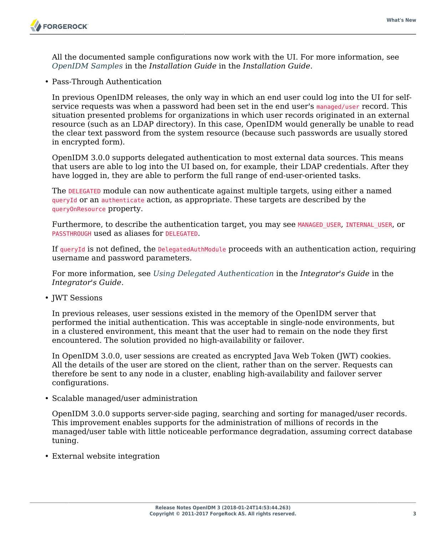All the documented sample configurations now work with the UI. For more information, see *OpenIDM Samples* in the *Installation Guide* in the *Installation Guide*.

• Pass-Through Authentication

In previous OpenIDM releases, the only way in which an end user could log into the UI for selfservice requests was when a password had been set in the end user's managed/user record. This situation presented problems for organizations in which user records originated in an external resource (such as an LDAP directory). In this case, OpenIDM would generally be unable to read the clear text password from the system resource (because such passwords are usually stored in encrypted form).

OpenIDM 3.0.0 supports delegated authentication to most external data sources. This means that users are able to log into the UI based on, for example, their LDAP credentials. After they have logged in, they are able to perform the full range of end-user-oriented tasks.

The DELEGATED module can now authenticate against multiple targets, using either a named queryId or an authenticate action, as appropriate. These targets are described by the queryOnResource property.

Furthermore, to describe the authentication target, you may see MANAGED USER, INTERNAL USER, or PASSTHROUGH used as aliases for DELEGATED.

If queryId is not defined, the DelegatedAuthModule proceeds with an authentication action, requiring username and password parameters.

For more information, see *Using Delegated Authentication* in the *Integrator's Guide* in the *Integrator's Guide*.

• JWT Sessions

In previous releases, user sessions existed in the memory of the OpenIDM server that performed the initial authentication. This was acceptable in single-node environments, but in a clustered environment, this meant that the user had to remain on the node they first encountered. The solution provided no high-availability or failover.

In OpenIDM 3.0.0, user sessions are created as encrypted Java Web Token (JWT) cookies. All the details of the user are stored on the client, rather than on the server. Requests can therefore be sent to any node in a cluster, enabling high-availability and failover server configurations.

• Scalable managed/user administration

OpenIDM 3.0.0 supports server-side paging, searching and sorting for managed/user records. This improvement enables supports for the administration of millions of records in the managed/user table with little noticeable performance degradation, assuming correct database tuning.

• External website integration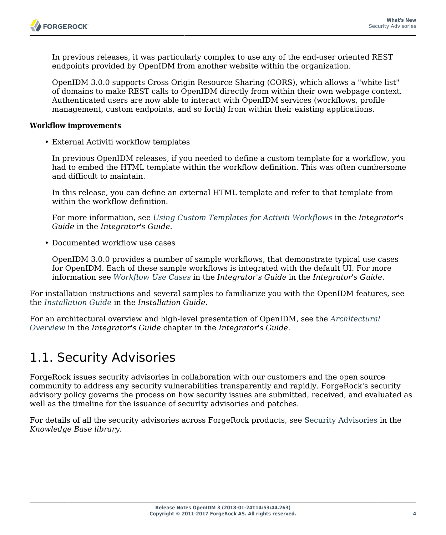In previous releases, it was particularly complex to use any of the end-user oriented REST endpoints provided by OpenIDM from another website within the organization.

OpenIDM 3.0.0 supports Cross Origin Resource Sharing (CORS), which allows a "white list" of domains to make REST calls to OpenIDM directly from within their own webpage context. Authenticated users are now able to interact with OpenIDM services (workflows, profile management, custom endpoints, and so forth) from within their existing applications.

### **Workflow improvements**

• External Activiti workflow templates

In previous OpenIDM releases, if you needed to define a custom template for a workflow, you had to embed the HTML template within the workflow definition. This was often cumbersome and difficult to maintain.

In this release, you can define an external HTML template and refer to that template from within the workflow definition.

For more information, see *Using Custom Templates for Activiti Workflows* in the *Integrator's Guide* in the *Integrator's Guide*.

• Documented workflow use cases

OpenIDM 3.0.0 provides a number of sample workflows, that demonstrate typical use cases for OpenIDM. Each of these sample workflows is integrated with the default UI. For more information see *Workflow Use Cases* in the *Integrator's Guide* in the *Integrator's Guide*.

For installation instructions and several samples to familiarize you with the OpenIDM features, see the *Installation Guide* in the *Installation Guide*.

For an architectural overview and high-level presentation of OpenIDM, see the *Architectural Overview* in the *Integrator's Guide* chapter in the *Integrator's Guide*.

### <span id="page-6-0"></span>1.1. Security Advisories

ForgeRock issues security advisories in collaboration with our customers and the open source community to address any security vulnerabilities transparently and rapidly. ForgeRock's security advisory policy governs the process on how security issues are submitted, received, and evaluated as well as the timeline for the issuance of security advisories and patches.

For details of all the security advisories across ForgeRock products, see [Security Advisories](https://backstage.forgerock.com/knowledge/kb/book/b21824339) in the *Knowledge Base library*.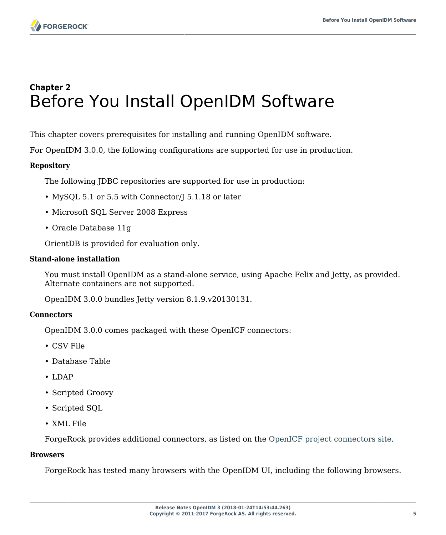## <span id="page-7-0"></span>**Chapter 2** Before You Install OpenIDM Software

This chapter covers prerequisites for installing and running OpenIDM software.

For OpenIDM 3.0.0, the following configurations are supported for use in production.

### **Repository**

The following JDBC repositories are supported for use in production:

- MySQL 5.1 or 5.5 with Connector/J 5.1.18 or later
- Microsoft SQL Server 2008 Express
- Oracle Database 11g

OrientDB is provided for evaluation only.

### **Stand-alone installation**

You must install OpenIDM as a stand-alone service, using Apache Felix and Jetty, as provided. Alternate containers are not supported.

OpenIDM 3.0.0 bundles Jetty version 8.1.9.v20130131.

### **Connectors**

OpenIDM 3.0.0 comes packaged with these OpenICF connectors:

- CSV File
- Database Table
- LDAP
- Scripted Groovy
- Scripted SQL
- XML File

ForgeRock provides additional connectors, as listed on the [OpenICF project connectors site](http://openicf.forgerock.org/connectors/).

### **Browsers**

ForgeRock has tested many browsers with the OpenIDM UI, including the following browsers.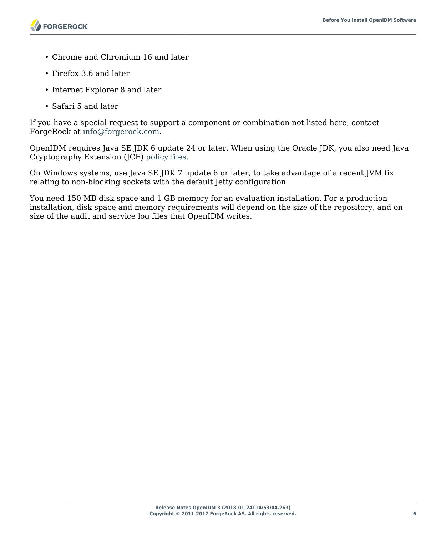- Chrome and Chromium 16 and later
- Firefox 3.6 and later
- Internet Explorer 8 and later
- Safari 5 and later

If you have a special request to support a component or combination not listed here, contact ForgeRock at [info@forgerock.com.](mailto:info@forgerock.com)

OpenIDM requires Java SE JDK 6 update 24 or later. When using the Oracle JDK, you also need Java Cryptography Extension (JCE) [policy files.](http://www.oracle.com/technetwork/java/javase/downloads/index.html)

On Windows systems, use Java SE JDK 7 update 6 or later, to take advantage of a recent JVM fix relating to non-blocking sockets with the default Jetty configuration.

You need 150 MB disk space and 1 GB memory for an evaluation installation. For a production installation, disk space and memory requirements will depend on the size of the repository, and on size of the audit and service log files that OpenIDM writes.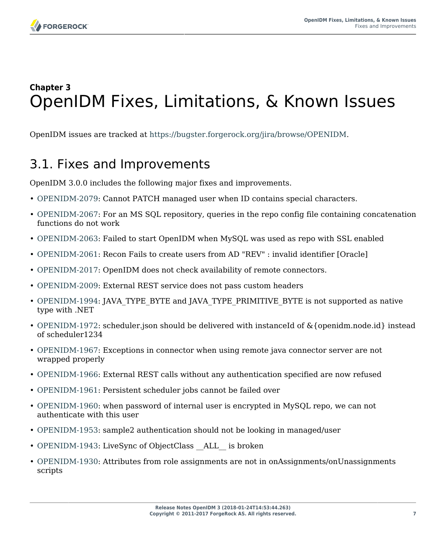

# <span id="page-9-0"></span>**Chapter 3** OpenIDM Fixes, Limitations, & Known Issues

<span id="page-9-1"></span>OpenIDM issues are tracked at [https://bugster.forgerock.org/jira/browse/OPENIDM.](https://bugster.forgerock.org/jira/browse/OPENIDM)

### 3.1. Fixes and Improvements

OpenIDM 3.0.0 includes the following major fixes and improvements.

- [OPENIDM-2079:](https://bugster.forgerock.org/jira/browse/OPENIDM-2079) Cannot PATCH managed user when ID contains special characters.
- [OPENIDM-2067:](https://bugster.forgerock.org/jira/browse/OPENIDM-2067) For an MS SQL repository, queries in the repo config file containing concatenation functions do not work
- [OPENIDM-2063:](https://bugster.forgerock.org/jira/browse/OPENIDM-2063) Failed to start OpenIDM when MySQL was used as repo with SSL enabled
- [OPENIDM-2061:](https://bugster.forgerock.org/jira/browse/OPENIDM-2061) Recon Fails to create users from AD "REV" : invalid identifier [Oracle]
- [OPENIDM-2017:](https://bugster.forgerock.org/jira/browse/OPENIDM-2017) OpenIDM does not check availability of remote connectors.
- [OPENIDM-2009:](https://bugster.forgerock.org/jira/browse/OPENIDM-2009) External REST service does not pass custom headers
- [OPENIDM-1994:](https://bugster.forgerock.org/jira/browse/OPENIDM-1994) JAVA\_TYPE\_BYTE and JAVA\_TYPE\_PRIMITIVE\_BYTE is not supported as native type with .NET
- [OPENIDM-1972:](https://bugster.forgerock.org/jira/browse/OPENIDM-1972) scheduler.json should be delivered with instanceId of &{openidm.node.id} instead of scheduler1234
- [OPENIDM-1967:](https://bugster.forgerock.org/jira/browse/OPENIDM-1967) Exceptions in connector when using remote java connector server are not wrapped properly
- [OPENIDM-1966:](https://bugster.forgerock.org/jira/browse/OPENIDM-1966) External REST calls without any authentication specified are now refused
- [OPENIDM-1961:](https://bugster.forgerock.org/jira/browse/OPENIDM-1961) Persistent scheduler jobs cannot be failed over
- [OPENIDM-1960:](https://bugster.forgerock.org/jira/browse/OPENIDM-1960) when password of internal user is encrypted in MySQL repo, we can not authenticate with this user
- [OPENIDM-1953:](https://bugster.forgerock.org/jira/browse/OPENIDM-1953) sample2 authentication should not be looking in managed/user
- [OPENIDM-1943:](https://bugster.forgerock.org/jira/browse/OPENIDM-1943) LiveSync of ObjectClass ALL is broken
- [OPENIDM-1930:](https://bugster.forgerock.org/jira/browse/OPENIDM-1930) Attributes from role assignments are not in onAssignments/onUnassignments scripts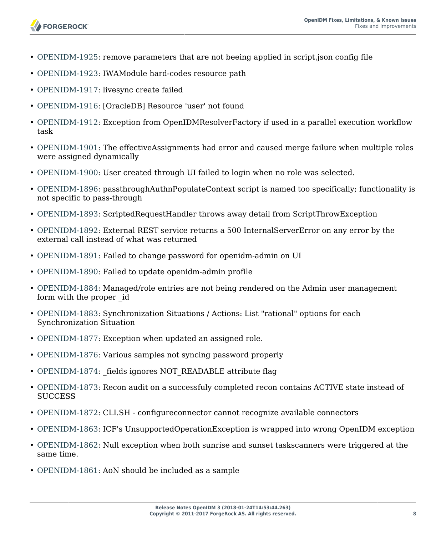

- [OPENIDM-1925:](https://bugster.forgerock.org/jira/browse/OPENIDM-1925) remove parameters that are not beeing applied in script.json config file
- [OPENIDM-1923:](https://bugster.forgerock.org/jira/browse/OPENIDM-1923) IWAModule hard-codes resource path
- [OPENIDM-1917:](https://bugster.forgerock.org/jira/browse/OPENIDM-1917) livesync create failed
- [OPENIDM-1916:](https://bugster.forgerock.org/jira/browse/OPENIDM-1916) [OracleDB] Resource 'user' not found
- [OPENIDM-1912:](https://bugster.forgerock.org/jira/browse/OPENIDM-1912) Exception from OpenIDMResolverFactory if used in a parallel execution workflow task
- [OPENIDM-1901:](https://bugster.forgerock.org/jira/browse/OPENIDM-1901) The effectiveAssignments had error and caused merge failure when multiple roles were assigned dynamically
- [OPENIDM-1900:](https://bugster.forgerock.org/jira/browse/OPENIDM-1900) User created through UI failed to login when no role was selected.
- [OPENIDM-1896:](https://bugster.forgerock.org/jira/browse/OPENIDM-1896) passthroughAuthnPopulateContext script is named too specifically; functionality is not specific to pass-through
- [OPENIDM-1893:](https://bugster.forgerock.org/jira/browse/OPENIDM-1893) ScriptedRequestHandler throws away detail from ScriptThrowException
- [OPENIDM-1892:](https://bugster.forgerock.org/jira/browse/OPENIDM-1892) External REST service returns a 500 InternalServerError on any error by the external call instead of what was returned
- [OPENIDM-1891:](https://bugster.forgerock.org/jira/browse/OPENIDM-1891) Failed to change password for openidm-admin on UI
- [OPENIDM-1890:](https://bugster.forgerock.org/jira/browse/OPENIDM-1890) Failed to update openidm-admin profile
- [OPENIDM-1884:](https://bugster.forgerock.org/jira/browse/OPENIDM-1884) Managed/role entries are not being rendered on the Admin user management form with the proper \_id
- [OPENIDM-1883:](https://bugster.forgerock.org/jira/browse/OPENIDM-1883) Synchronization Situations / Actions: List "rational" options for each Synchronization Situation
- [OPENIDM-1877:](https://bugster.forgerock.org/jira/browse/OPENIDM-1877) Exception when updated an assigned role.
- [OPENIDM-1876:](https://bugster.forgerock.org/jira/browse/OPENIDM-1876) Various samples not syncing password properly
- [OPENIDM-1874:](https://bugster.forgerock.org/jira/browse/OPENIDM-1874) fields ignores NOT\_READABLE attribute flag
- [OPENIDM-1873:](https://bugster.forgerock.org/jira/browse/OPENIDM-1873) Recon audit on a successfuly completed recon contains ACTIVE state instead of **SUCCESS**
- [OPENIDM-1872:](https://bugster.forgerock.org/jira/browse/OPENIDM-1872) CLI.SH configureconnector cannot recognize available connectors
- [OPENIDM-1863:](https://bugster.forgerock.org/jira/browse/OPENIDM-1863) ICF's UnsupportedOperationException is wrapped into wrong OpenIDM exception
- [OPENIDM-1862:](https://bugster.forgerock.org/jira/browse/OPENIDM-1862) Null exception when both sunrise and sunset taskscanners were triggered at the same time.
- [OPENIDM-1861:](https://bugster.forgerock.org/jira/browse/OPENIDM-1861) AoN should be included as a sample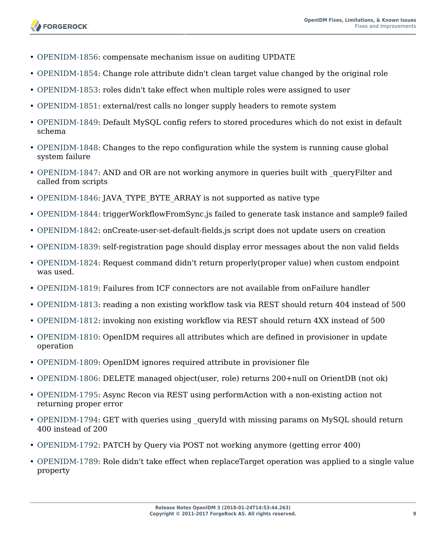- [OPENIDM-1856:](https://bugster.forgerock.org/jira/browse/OPENIDM-1856) compensate mechanism issue on auditing UPDATE
- [OPENIDM-1854:](https://bugster.forgerock.org/jira/browse/OPENIDM-1854) Change role attribute didn't clean target value changed by the original role
- [OPENIDM-1853:](https://bugster.forgerock.org/jira/browse/OPENIDM-1853) roles didn't take effect when multiple roles were assigned to user
- [OPENIDM-1851:](https://bugster.forgerock.org/jira/browse/OPENIDM-1851) external/rest calls no longer supply headers to remote system
- [OPENIDM-1849:](https://bugster.forgerock.org/jira/browse/OPENIDM-1849) Default MySQL config refers to stored procedures which do not exist in default schema
- [OPENIDM-1848:](https://bugster.forgerock.org/jira/browse/OPENIDM-1848) Changes to the repo configuration while the system is running cause global system failure
- [OPENIDM-1847:](https://bugster.forgerock.org/jira/browse/OPENIDM-1847) AND and OR are not working anymore in queries built with queryFilter and called from scripts
- [OPENIDM-1846:](https://bugster.forgerock.org/jira/browse/OPENIDM-1846) JAVA\_TYPE\_BYTE\_ARRAY is not supported as native type
- [OPENIDM-1844:](https://bugster.forgerock.org/jira/browse/OPENIDM-1844) triggerWorkflowFromSync.js failed to generate task instance and sample9 failed
- [OPENIDM-1842:](https://bugster.forgerock.org/jira/browse/OPENIDM-1842) onCreate-user-set-default-fields.js script does not update users on creation
- [OPENIDM-1839:](https://bugster.forgerock.org/jira/browse/OPENIDM-1839) self-registration page should display error messages about the non valid fields
- [OPENIDM-1824:](https://bugster.forgerock.org/jira/browse/OPENIDM-1824) Request command didn't return properly(proper value) when custom endpoint was used.
- [OPENIDM-1819:](https://bugster.forgerock.org/jira/browse/OPENIDM-1819) Failures from ICF connectors are not available from onFailure handler
- [OPENIDM-1813:](https://bugster.forgerock.org/jira/browse/OPENIDM-1813) reading a non existing workflow task via REST should return 404 instead of 500
- [OPENIDM-1812:](https://bugster.forgerock.org/jira/browse/OPENIDM-1812) invoking non existing workflow via REST should return 4XX instead of 500
- [OPENIDM-1810:](https://bugster.forgerock.org/jira/browse/OPENIDM-1810) OpenIDM requires all attributes which are defined in provisioner in update operation
- [OPENIDM-1809:](https://bugster.forgerock.org/jira/browse/OPENIDM-1809) OpenIDM ignores required attribute in provisioner file
- [OPENIDM-1806:](https://bugster.forgerock.org/jira/browse/OPENIDM-1806) DELETE managed object(user, role) returns 200+null on OrientDB (not ok)
- [OPENIDM-1795:](https://bugster.forgerock.org/jira/browse/OPENIDM-1795) Async Recon via REST using performAction with a non-existing action not returning proper error
- [OPENIDM-1794:](https://bugster.forgerock.org/jira/browse/OPENIDM-1794) GET with queries using queryId with missing params on MySQL should return 400 instead of 200
- [OPENIDM-1792:](https://bugster.forgerock.org/jira/browse/OPENIDM-1792) PATCH by Query via POST not working anymore (getting error 400)
- [OPENIDM-1789:](https://bugster.forgerock.org/jira/browse/OPENIDM-1789) Role didn't take effect when replaceTarget operation was applied to a single value property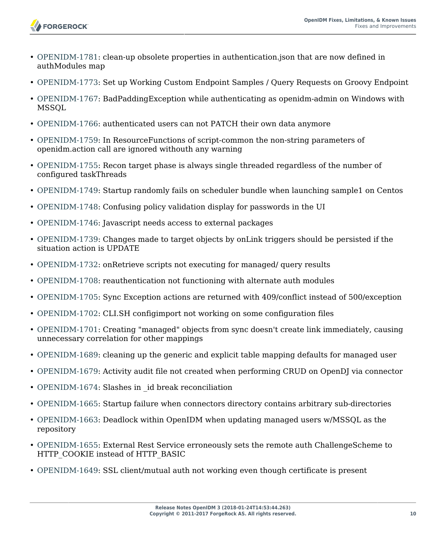

- [OPENIDM-1781:](https://bugster.forgerock.org/jira/browse/OPENIDM-1781) clean-up obsolete properties in authentication.json that are now defined in authModules map
- [OPENIDM-1773:](https://bugster.forgerock.org/jira/browse/OPENIDM-1773) Set up Working Custom Endpoint Samples / Query Requests on Groovy Endpoint
- [OPENIDM-1767:](https://bugster.forgerock.org/jira/browse/OPENIDM-1767) BadPaddingException while authenticating as openidm-admin on Windows with MSSQL
- [OPENIDM-1766:](https://bugster.forgerock.org/jira/browse/OPENIDM-1766) authenticated users can not PATCH their own data anymore
- [OPENIDM-1759:](https://bugster.forgerock.org/jira/browse/OPENIDM-1759) In ResourceFunctions of script-common the non-string parameters of openidm.action call are ignored withouth any warning
- [OPENIDM-1755:](https://bugster.forgerock.org/jira/browse/OPENIDM-1755) Recon target phase is always single threaded regardless of the number of configured taskThreads
- [OPENIDM-1749:](https://bugster.forgerock.org/jira/browse/OPENIDM-1749) Startup randomly fails on scheduler bundle when launching sample1 on Centos
- [OPENIDM-1748:](https://bugster.forgerock.org/jira/browse/OPENIDM-1748) Confusing policy validation display for passwords in the UI
- [OPENIDM-1746:](https://bugster.forgerock.org/jira/browse/OPENIDM-1746) Javascript needs access to external packages
- [OPENIDM-1739:](https://bugster.forgerock.org/jira/browse/OPENIDM-1739) Changes made to target objects by onLink triggers should be persisted if the situation action is UPDATE
- [OPENIDM-1732:](https://bugster.forgerock.org/jira/browse/OPENIDM-1732) onRetrieve scripts not executing for managed/ query results
- [OPENIDM-1708:](https://bugster.forgerock.org/jira/browse/OPENIDM-1708) reauthentication not functioning with alternate auth modules
- [OPENIDM-1705:](https://bugster.forgerock.org/jira/browse/OPENIDM-1705) Sync Exception actions are returned with 409/conflict instead of 500/exception
- [OPENIDM-1702:](https://bugster.forgerock.org/jira/browse/OPENIDM-1702) CLI.SH configimport not working on some configuration files
- [OPENIDM-1701:](https://bugster.forgerock.org/jira/browse/OPENIDM-1701) Creating "managed" objects from sync doesn't create link immediately, causing unnecessary correlation for other mappings
- [OPENIDM-1689:](https://bugster.forgerock.org/jira/browse/OPENIDM-1689) cleaning up the generic and explicit table mapping defaults for managed user
- [OPENIDM-1679:](https://bugster.forgerock.org/jira/browse/OPENIDM-1679) Activity audit file not created when performing CRUD on OpenDJ via connector
- [OPENIDM-1674:](https://bugster.forgerock.org/jira/browse/OPENIDM-1674) Slashes in \_id break reconciliation
- [OPENIDM-1665:](https://bugster.forgerock.org/jira/browse/OPENIDM-1665) Startup failure when connectors directory contains arbitrary sub-directories
- [OPENIDM-1663:](https://bugster.forgerock.org/jira/browse/OPENIDM-1663) Deadlock within OpenIDM when updating managed users w/MSSQL as the repository
- [OPENIDM-1655:](https://bugster.forgerock.org/jira/browse/OPENIDM-1655) External Rest Service erroneously sets the remote auth ChallengeScheme to HTTP\_COOKIE instead of HTTP\_BASIC
- [OPENIDM-1649:](https://bugster.forgerock.org/jira/browse/OPENIDM-1649) SSL client/mutual auth not working even though certificate is present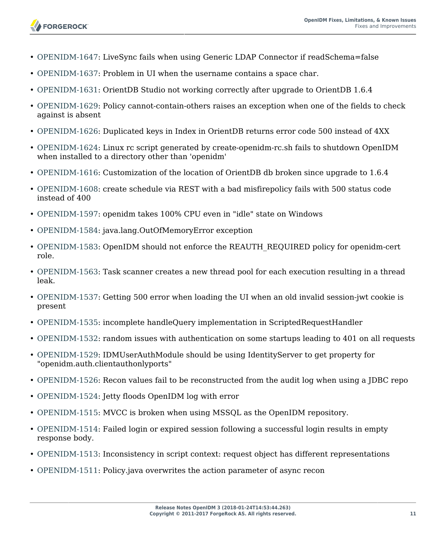- [OPENIDM-1647:](https://bugster.forgerock.org/jira/browse/OPENIDM-1647) LiveSync fails when using Generic LDAP Connector if readSchema=false
- [OPENIDM-1637:](https://bugster.forgerock.org/jira/browse/OPENIDM-1637) Problem in UI when the username contains a space char.
- [OPENIDM-1631:](https://bugster.forgerock.org/jira/browse/OPENIDM-1631) OrientDB Studio not working correctly after upgrade to OrientDB 1.6.4
- [OPENIDM-1629:](https://bugster.forgerock.org/jira/browse/OPENIDM-1629) Policy cannot-contain-others raises an exception when one of the fields to check against is absent
- [OPENIDM-1626:](https://bugster.forgerock.org/jira/browse/OPENIDM-1626) Duplicated keys in Index in OrientDB returns error code 500 instead of 4XX
- [OPENIDM-1624:](https://bugster.forgerock.org/jira/browse/OPENIDM-1624) Linux rc script generated by create-openidm-rc.sh fails to shutdown OpenIDM when installed to a directory other than 'openidm'
- [OPENIDM-1616:](https://bugster.forgerock.org/jira/browse/OPENIDM-1616) Customization of the location of OrientDB db broken since upgrade to 1.6.4
- [OPENIDM-1608:](https://bugster.forgerock.org/jira/browse/OPENIDM-1608) create schedule via REST with a bad misfirepolicy fails with 500 status code instead of 400
- [OPENIDM-1597:](https://bugster.forgerock.org/jira/browse/OPENIDM-1597) openidm takes 100% CPU even in "idle" state on Windows
- [OPENIDM-1584:](https://bugster.forgerock.org/jira/browse/OPENIDM-1584) java.lang.OutOfMemoryError exception
- [OPENIDM-1583:](https://bugster.forgerock.org/jira/browse/OPENIDM-1583) OpenIDM should not enforce the REAUTH\_REQUIRED policy for openidm-cert role.
- [OPENIDM-1563:](https://bugster.forgerock.org/jira/browse/OPENIDM-1563) Task scanner creates a new thread pool for each execution resulting in a thread leak.
- [OPENIDM-1537:](https://bugster.forgerock.org/jira/browse/OPENIDM-1537) Getting 500 error when loading the UI when an old invalid session-jwt cookie is present
- [OPENIDM-1535:](https://bugster.forgerock.org/jira/browse/OPENIDM-1535) incomplete handleQuery implementation in ScriptedRequestHandler
- [OPENIDM-1532:](https://bugster.forgerock.org/jira/browse/OPENIDM-1532) random issues with authentication on some startups leading to 401 on all requests
- [OPENIDM-1529:](https://bugster.forgerock.org/jira/browse/OPENIDM-1529) IDMUserAuthModule should be using IdentityServer to get property for "openidm.auth.clientauthonlyports"
- [OPENIDM-1526:](https://bugster.forgerock.org/jira/browse/OPENIDM-1526) Recon values fail to be reconstructed from the audit log when using a JDBC repo
- [OPENIDM-1524:](https://bugster.forgerock.org/jira/browse/OPENIDM-1524) Jetty floods OpenIDM log with error
- [OPENIDM-1515:](https://bugster.forgerock.org/jira/browse/OPENIDM-1515) MVCC is broken when using MSSQL as the OpenIDM repository.
- [OPENIDM-1514:](https://bugster.forgerock.org/jira/browse/OPENIDM-1514) Failed login or expired session following a successful login results in empty response body.
- [OPENIDM-1513:](https://bugster.forgerock.org/jira/browse/OPENIDM-1513) Inconsistency in script context: request object has different representations
- [OPENIDM-1511:](https://bugster.forgerock.org/jira/browse/OPENIDM-1511) Policy.java overwrites the action parameter of async recon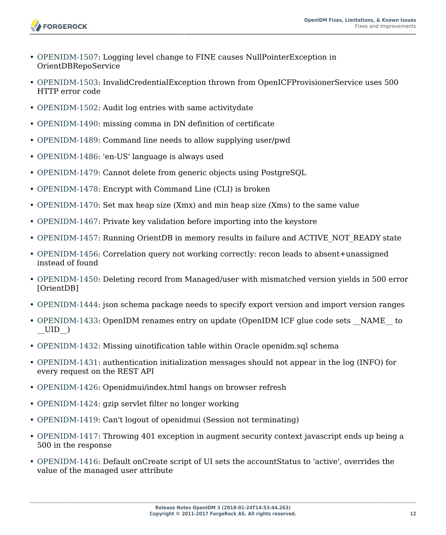- [OPENIDM-1507:](https://bugster.forgerock.org/jira/browse/OPENIDM-1507) Logging level change to FINE causes NullPointerException in OrientDBRepoService
- [OPENIDM-1503:](https://bugster.forgerock.org/jira/browse/OPENIDM-1503) InvalidCredentialException thrown from OpenICFProvisionerService uses 500 HTTP error code
- [OPENIDM-1502:](https://bugster.forgerock.org/jira/browse/OPENIDM-1502) Audit log entries with same activitydate
- [OPENIDM-1490:](https://bugster.forgerock.org/jira/browse/OPENIDM-1490) missing comma in DN definition of certificate
- [OPENIDM-1489:](https://bugster.forgerock.org/jira/browse/OPENIDM-1489) Command line needs to allow supplying user/pwd
- [OPENIDM-1486:](https://bugster.forgerock.org/jira/browse/OPENIDM-1486) 'en-US' language is always used
- [OPENIDM-1479:](https://bugster.forgerock.org/jira/browse/OPENIDM-1479) Cannot delete from generic objects using PostgreSQL
- [OPENIDM-1478:](https://bugster.forgerock.org/jira/browse/OPENIDM-1478) Encrypt with Command Line (CLI) is broken
- [OPENIDM-1470:](https://bugster.forgerock.org/jira/browse/OPENIDM-1470) Set max heap size (Xmx) and min heap size (Xms) to the same value
- [OPENIDM-1467:](https://bugster.forgerock.org/jira/browse/OPENIDM-1467) Private key validation before importing into the keystore
- [OPENIDM-1457:](https://bugster.forgerock.org/jira/browse/OPENIDM-1457) Running OrientDB in memory results in failure and ACTIVE\_NOT\_READY state
- [OPENIDM-1456:](https://bugster.forgerock.org/jira/browse/OPENIDM-1456) Correlation query not working correctly: recon leads to absent+unassigned instead of found
- [OPENIDM-1450:](https://bugster.forgerock.org/jira/browse/OPENIDM-1450) Deleting record from Managed/user with mismatched version yields in 500 error [OrientDB]
- [OPENIDM-1444:](https://bugster.forgerock.org/jira/browse/OPENIDM-1444) json schema package needs to specify export version and import version ranges
- [OPENIDM-1433:](https://bugster.forgerock.org/jira/browse/OPENIDM-1433) OpenIDM renames entry on update (OpenIDM ICF glue code sets \_\_NAME \_\_ to  $\_$ UID $\_$
- [OPENIDM-1432:](https://bugster.forgerock.org/jira/browse/OPENIDM-1432) Missing uinotification table within Oracle openidm.sql schema
- [OPENIDM-1431:](https://bugster.forgerock.org/jira/browse/OPENIDM-1431) authentication initialization messages should not appear in the log (INFO) for every request on the REST API
- [OPENIDM-1426:](https://bugster.forgerock.org/jira/browse/OPENIDM-1426) Openidmui/index.html hangs on browser refresh
- [OPENIDM-1424:](https://bugster.forgerock.org/jira/browse/OPENIDM-1424) gzip servlet filter no longer working
- [OPENIDM-1419:](https://bugster.forgerock.org/jira/browse/OPENIDM-1419) Can't logout of openidmui (Session not terminating)
- [OPENIDM-1417:](https://bugster.forgerock.org/jira/browse/OPENIDM-1417) Throwing 401 exception in augment security context javascript ends up being a 500 in the response
- [OPENIDM-1416:](https://bugster.forgerock.org/jira/browse/OPENIDM-1416) Default onCreate script of UI sets the accountStatus to 'active', overrides the value of the managed user attribute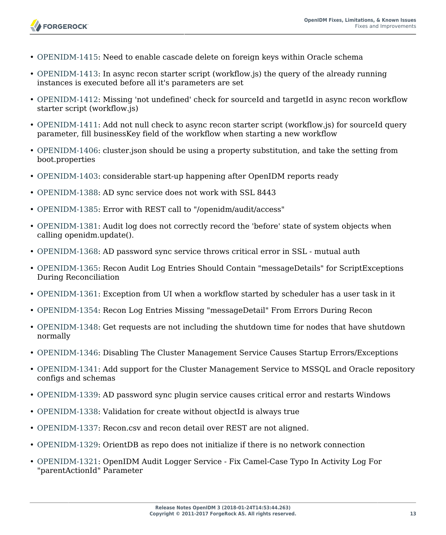- [OPENIDM-1415:](https://bugster.forgerock.org/jira/browse/OPENIDM-1415) Need to enable cascade delete on foreign keys within Oracle schema
- [OPENIDM-1413:](https://bugster.forgerock.org/jira/browse/OPENIDM-1413) In async recon starter script (workflow.js) the query of the already running instances is executed before all it's parameters are set
- [OPENIDM-1412:](https://bugster.forgerock.org/jira/browse/OPENIDM-1412) Missing 'not undefined' check for sourceId and targetId in async recon workflow starter script (workflow.js)
- [OPENIDM-1411:](https://bugster.forgerock.org/jira/browse/OPENIDM-1411) Add not null check to async recon starter script (workflow.js) for sourceId query parameter, fill businessKey field of the workflow when starting a new workflow
- [OPENIDM-1406:](https://bugster.forgerock.org/jira/browse/OPENIDM-1406) cluster.json should be using a property substitution, and take the setting from boot.properties
- [OPENIDM-1403:](https://bugster.forgerock.org/jira/browse/OPENIDM-1403) considerable start-up happening after OpenIDM reports ready
- [OPENIDM-1388:](https://bugster.forgerock.org/jira/browse/OPENIDM-1388) AD sync service does not work with SSL 8443

**FORGEROCK** 

- [OPENIDM-1385:](https://bugster.forgerock.org/jira/browse/OPENIDM-1385) Error with REST call to "/openidm/audit/access"
- [OPENIDM-1381:](https://bugster.forgerock.org/jira/browse/OPENIDM-1381) Audit log does not correctly record the 'before' state of system objects when calling openidm.update().
- [OPENIDM-1368:](https://bugster.forgerock.org/jira/browse/OPENIDM-1368) AD password sync service throws critical error in SSL mutual auth
- [OPENIDM-1365:](https://bugster.forgerock.org/jira/browse/OPENIDM-1365) Recon Audit Log Entries Should Contain "messageDetails" for ScriptExceptions During Reconciliation
- [OPENIDM-1361:](https://bugster.forgerock.org/jira/browse/OPENIDM-1361) Exception from UI when a workflow started by scheduler has a user task in it
- [OPENIDM-1354:](https://bugster.forgerock.org/jira/browse/OPENIDM-1354) Recon Log Entries Missing "messageDetail" From Errors During Recon
- [OPENIDM-1348:](https://bugster.forgerock.org/jira/browse/OPENIDM-1348) Get requests are not including the shutdown time for nodes that have shutdown normally
- [OPENIDM-1346:](https://bugster.forgerock.org/jira/browse/OPENIDM-1346) Disabling The Cluster Management Service Causes Startup Errors/Exceptions
- [OPENIDM-1341:](https://bugster.forgerock.org/jira/browse/OPENIDM-1341) Add support for the Cluster Management Service to MSSQL and Oracle repository configs and schemas
- [OPENIDM-1339:](https://bugster.forgerock.org/jira/browse/OPENIDM-1339) AD password sync plugin service causes critical error and restarts Windows
- [OPENIDM-1338:](https://bugster.forgerock.org/jira/browse/OPENIDM-1338) Validation for create without objectId is always true
- [OPENIDM-1337:](https://bugster.forgerock.org/jira/browse/OPENIDM-1337) Recon.csv and recon detail over REST are not aligned.
- [OPENIDM-1329:](https://bugster.forgerock.org/jira/browse/OPENIDM-1329) OrientDB as repo does not initialize if there is no network connection
- [OPENIDM-1321:](https://bugster.forgerock.org/jira/browse/OPENIDM-1321) OpenIDM Audit Logger Service Fix Camel-Case Typo In Activity Log For "parentActionId" Parameter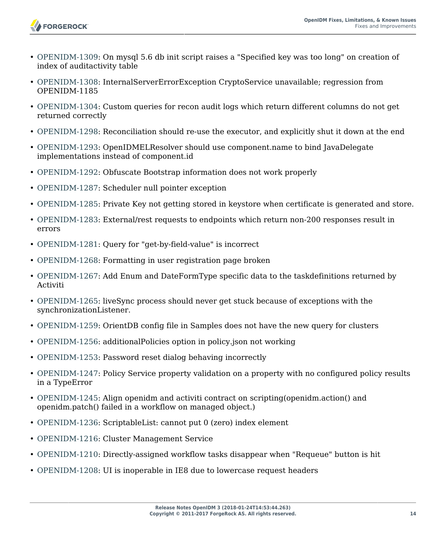

- [OPENIDM-1309:](https://bugster.forgerock.org/jira/browse/OPENIDM-1309) On mysql 5.6 db init script raises a "Specified key was too long" on creation of index of auditactivity table
- [OPENIDM-1308:](https://bugster.forgerock.org/jira/browse/OPENIDM-1308) InternalServerErrorException CryptoService unavailable; regression from OPENIDM-1185
- [OPENIDM-1304:](https://bugster.forgerock.org/jira/browse/OPENIDM-1304) Custom queries for recon audit logs which return different columns do not get returned correctly
- [OPENIDM-1298:](https://bugster.forgerock.org/jira/browse/OPENIDM-1298) Reconciliation should re-use the executor, and explicitly shut it down at the end
- [OPENIDM-1293:](https://bugster.forgerock.org/jira/browse/OPENIDM-1293) OpenIDMELResolver should use component.name to bind JavaDelegate implementations instead of component.id
- [OPENIDM-1292:](https://bugster.forgerock.org/jira/browse/OPENIDM-1292) Obfuscate Bootstrap information does not work properly
- [OPENIDM-1287:](https://bugster.forgerock.org/jira/browse/OPENIDM-1287) Scheduler null pointer exception
- [OPENIDM-1285:](https://bugster.forgerock.org/jira/browse/OPENIDM-1285) Private Key not getting stored in keystore when certificate is generated and store.
- [OPENIDM-1283:](https://bugster.forgerock.org/jira/browse/OPENIDM-1283) External/rest requests to endpoints which return non-200 responses result in errors
- [OPENIDM-1281:](https://bugster.forgerock.org/jira/browse/OPENIDM-1281) Query for "get-by-field-value" is incorrect
- [OPENIDM-1268:](https://bugster.forgerock.org/jira/browse/OPENIDM-1268) Formatting in user registration page broken
- [OPENIDM-1267:](https://bugster.forgerock.org/jira/browse/OPENIDM-1267) Add Enum and DateFormType specific data to the taskdefinitions returned by Activiti
- [OPENIDM-1265:](https://bugster.forgerock.org/jira/browse/OPENIDM-1265) liveSync process should never get stuck because of exceptions with the synchronizationListener.
- [OPENIDM-1259:](https://bugster.forgerock.org/jira/browse/OPENIDM-1259) OrientDB config file in Samples does not have the new query for clusters
- [OPENIDM-1256:](https://bugster.forgerock.org/jira/browse/OPENIDM-1256) additionalPolicies option in policy.json not working
- [OPENIDM-1253:](https://bugster.forgerock.org/jira/browse/OPENIDM-1253) Password reset dialog behaving incorrectly
- [OPENIDM-1247:](https://bugster.forgerock.org/jira/browse/OPENIDM-1247) Policy Service property validation on a property with no configured policy results in a TypeError
- [OPENIDM-1245:](https://bugster.forgerock.org/jira/browse/OPENIDM-1245) Align openidm and activiti contract on scripting(openidm.action() and openidm.patch() failed in a workflow on managed object.)
- [OPENIDM-1236:](https://bugster.forgerock.org/jira/browse/OPENIDM-1236) ScriptableList: cannot put 0 (zero) index element
- [OPENIDM-1216:](https://bugster.forgerock.org/jira/browse/OPENIDM-1216) Cluster Management Service
- [OPENIDM-1210:](https://bugster.forgerock.org/jira/browse/OPENIDM-1210) Directly-assigned workflow tasks disappear when "Requeue" button is hit
- [OPENIDM-1208:](https://bugster.forgerock.org/jira/browse/OPENIDM-1208) UI is inoperable in IE8 due to lowercase request headers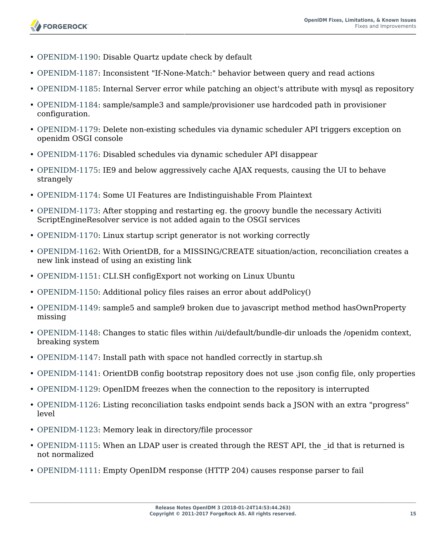

- [OPENIDM-1190:](https://bugster.forgerock.org/jira/browse/OPENIDM-1190) Disable Quartz update check by default
- [OPENIDM-1187:](https://bugster.forgerock.org/jira/browse/OPENIDM-1187) Inconsistent "If-None-Match:" behavior between query and read actions
- [OPENIDM-1185:](https://bugster.forgerock.org/jira/browse/OPENIDM-1185) Internal Server error while patching an object's attribute with mysql as repository
- [OPENIDM-1184:](https://bugster.forgerock.org/jira/browse/OPENIDM-1184) sample/sample3 and sample/provisioner use hardcoded path in provisioner configuration.
- [OPENIDM-1179:](https://bugster.forgerock.org/jira/browse/OPENIDM-1179) Delete non-existing schedules via dynamic scheduler API triggers exception on openidm OSGI console
- [OPENIDM-1176:](https://bugster.forgerock.org/jira/browse/OPENIDM-1176) Disabled schedules via dynamic scheduler API disappear
- [OPENIDM-1175:](https://bugster.forgerock.org/jira/browse/OPENIDM-1175) IE9 and below aggressively cache AJAX requests, causing the UI to behave strangely
- [OPENIDM-1174:](https://bugster.forgerock.org/jira/browse/OPENIDM-1174) Some UI Features are Indistinguishable From Plaintext
- [OPENIDM-1173:](https://bugster.forgerock.org/jira/browse/OPENIDM-1173) After stopping and restarting eg. the groovy bundle the necessary Activiti ScriptEngineResolver service is not added again to the OSGI services
- [OPENIDM-1170:](https://bugster.forgerock.org/jira/browse/OPENIDM-1170) Linux startup script generator is not working correctly
- [OPENIDM-1162:](https://bugster.forgerock.org/jira/browse/OPENIDM-1162) With OrientDB, for a MISSING/CREATE situation/action, reconciliation creates a new link instead of using an existing link
- [OPENIDM-1151:](https://bugster.forgerock.org/jira/browse/OPENIDM-1151) CLI.SH configExport not working on Linux Ubuntu
- [OPENIDM-1150:](https://bugster.forgerock.org/jira/browse/OPENIDM-1150) Additional policy files raises an error about addPolicy()
- [OPENIDM-1149:](https://bugster.forgerock.org/jira/browse/OPENIDM-1149) sample5 and sample9 broken due to javascript method method hasOwnProperty missing
- [OPENIDM-1148:](https://bugster.forgerock.org/jira/browse/OPENIDM-1148) Changes to static files within /ui/default/bundle-dir unloads the /openidm context, breaking system
- [OPENIDM-1147:](https://bugster.forgerock.org/jira/browse/OPENIDM-1147) Install path with space not handled correctly in startup.sh
- [OPENIDM-1141:](https://bugster.forgerock.org/jira/browse/OPENIDM-1141) OrientDB config bootstrap repository does not use .json config file, only properties
- [OPENIDM-1129:](https://bugster.forgerock.org/jira/browse/OPENIDM-1129) OpenIDM freezes when the connection to the repository is interrupted
- [OPENIDM-1126:](https://bugster.forgerock.org/jira/browse/OPENIDM-1126) Listing reconciliation tasks endpoint sends back a JSON with an extra "progress" level
- [OPENIDM-1123:](https://bugster.forgerock.org/jira/browse/OPENIDM-1123) Memory leak in directory/file processor
- [OPENIDM-1115:](https://bugster.forgerock.org/jira/browse/OPENIDM-1115) When an LDAP user is created through the REST API, the id that is returned is not normalized
- [OPENIDM-1111:](https://bugster.forgerock.org/jira/browse/OPENIDM-1111) Empty OpenIDM response (HTTP 204) causes response parser to fail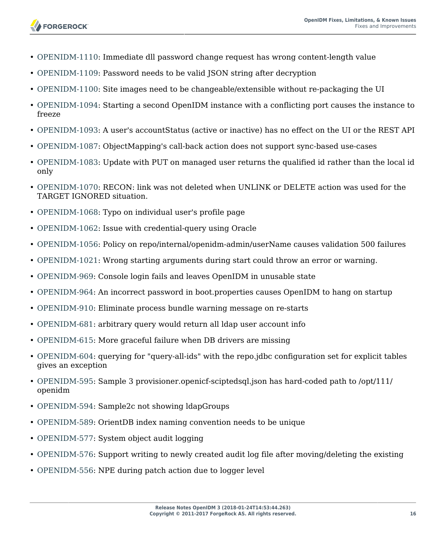- **FORGEROCK**
- [OPENIDM-1110:](https://bugster.forgerock.org/jira/browse/OPENIDM-1110) Immediate dll password change request has wrong content-length value
- [OPENIDM-1109:](https://bugster.forgerock.org/jira/browse/OPENIDM-1109) Password needs to be valid JSON string after decryption
- [OPENIDM-1100:](https://bugster.forgerock.org/jira/browse/OPENIDM-1100) Site images need to be changeable/extensible without re-packaging the UI
- [OPENIDM-1094:](https://bugster.forgerock.org/jira/browse/OPENIDM-1094) Starting a second OpenIDM instance with a conflicting port causes the instance to freeze
- [OPENIDM-1093:](https://bugster.forgerock.org/jira/browse/OPENIDM-1093) A user's accountStatus (active or inactive) has no effect on the UI or the REST API
- [OPENIDM-1087:](https://bugster.forgerock.org/jira/browse/OPENIDM-1087) ObjectMapping's call-back action does not support sync-based use-cases
- [OPENIDM-1083:](https://bugster.forgerock.org/jira/browse/OPENIDM-1083) Update with PUT on managed user returns the qualified id rather than the local id only
- [OPENIDM-1070:](https://bugster.forgerock.org/jira/browse/OPENIDM-1070) RECON: link was not deleted when UNLINK or DELETE action was used for the TARGET IGNORED situation.
- [OPENIDM-1068:](https://bugster.forgerock.org/jira/browse/OPENIDM-1068) Typo on individual user's profile page
- [OPENIDM-1062:](https://bugster.forgerock.org/jira/browse/OPENIDM-1062) Issue with credential-query using Oracle
- [OPENIDM-1056:](https://bugster.forgerock.org/jira/browse/OPENIDM-1056) Policy on repo/internal/openidm-admin/userName causes validation 500 failures
- [OPENIDM-1021:](https://bugster.forgerock.org/jira/browse/OPENIDM-1021) Wrong starting arguments during start could throw an error or warning.
- [OPENIDM-969](https://bugster.forgerock.org/jira/browse/OPENIDM-969): Console login fails and leaves OpenIDM in unusable state
- [OPENIDM-964](https://bugster.forgerock.org/jira/browse/OPENIDM-964): An incorrect password in boot.properties causes OpenIDM to hang on startup
- [OPENIDM-910](https://bugster.forgerock.org/jira/browse/OPENIDM-910): Eliminate process bundle warning message on re-starts
- [OPENIDM-681](https://bugster.forgerock.org/jira/browse/OPENIDM-681): arbitrary query would return all ldap user account info
- [OPENIDM-615](https://bugster.forgerock.org/jira/browse/OPENIDM-615): More graceful failure when DB drivers are missing
- [OPENIDM-604](https://bugster.forgerock.org/jira/browse/OPENIDM-604): querying for "query-all-ids" with the repo.jdbc configuration set for explicit tables gives an exception
- [OPENIDM-595](https://bugster.forgerock.org/jira/browse/OPENIDM-595): Sample 3 provisioner.openicf-sciptedsql.json has hard-coded path to /opt/111/ openidm
- [OPENIDM-594](https://bugster.forgerock.org/jira/browse/OPENIDM-594): Sample2c not showing ldapGroups
- [OPENIDM-589](https://bugster.forgerock.org/jira/browse/OPENIDM-589): OrientDB index naming convention needs to be unique
- [OPENIDM-577](https://bugster.forgerock.org/jira/browse/OPENIDM-577): System object audit logging
- [OPENIDM-576](https://bugster.forgerock.org/jira/browse/OPENIDM-576): Support writing to newly created audit log file after moving/deleting the existing
- [OPENIDM-556](https://bugster.forgerock.org/jira/browse/OPENIDM-556): NPE during patch action due to logger level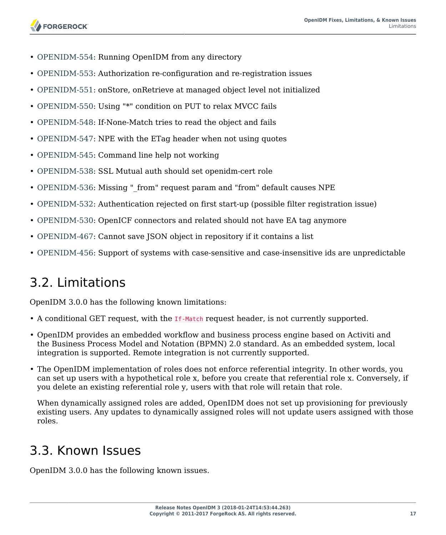- [OPENIDM-554](https://bugster.forgerock.org/jira/browse/OPENIDM-554): Running OpenIDM from any directory
- [OPENIDM-553](https://bugster.forgerock.org/jira/browse/OPENIDM-553): Authorization re-configuration and re-registration issues
- [OPENIDM-551](https://bugster.forgerock.org/jira/browse/OPENIDM-551): onStore, onRetrieve at managed object level not initialized
- [OPENIDM-550](https://bugster.forgerock.org/jira/browse/OPENIDM-550): Using "\*" condition on PUT to relax MVCC fails
- [OPENIDM-548](https://bugster.forgerock.org/jira/browse/OPENIDM-548): If-None-Match tries to read the object and fails
- [OPENIDM-547](https://bugster.forgerock.org/jira/browse/OPENIDM-547): NPE with the ETag header when not using quotes
- [OPENIDM-545](https://bugster.forgerock.org/jira/browse/OPENIDM-545): Command line help not working
- [OPENIDM-538](https://bugster.forgerock.org/jira/browse/OPENIDM-538): SSL Mutual auth should set openidm-cert role
- [OPENIDM-536](https://bugster.forgerock.org/jira/browse/OPENIDM-536): Missing " from" request param and "from" default causes NPE
- [OPENIDM-532](https://bugster.forgerock.org/jira/browse/OPENIDM-532): Authentication rejected on first start-up (possible filter registration issue)
- [OPENIDM-530](https://bugster.forgerock.org/jira/browse/OPENIDM-530): OpenICF connectors and related should not have EA tag anymore
- [OPENIDM-467](https://bugster.forgerock.org/jira/browse/OPENIDM-467): Cannot save JSON object in repository if it contains a list
- <span id="page-19-0"></span>• [OPENIDM-456](https://bugster.forgerock.org/jira/browse/OPENIDM-456): Support of systems with case-sensitive and case-insensitive ids are unpredictable

# 3.2. Limitations

OpenIDM 3.0.0 has the following known limitations:

- A conditional GET request, with the If-Match request header, is not currently supported.
- OpenIDM provides an embedded workflow and business process engine based on Activiti and the Business Process Model and Notation (BPMN) 2.0 standard. As an embedded system, local integration is supported. Remote integration is not currently supported.
- The OpenIDM implementation of roles does not enforce referential integrity. In other words, you can set up users with a hypothetical role x, before you create that referential role x. Conversely, if you delete an existing referential role y, users with that role will retain that role.

When dynamically assigned roles are added, OpenIDM does not set up provisioning for previously existing users. Any updates to dynamically assigned roles will not update users assigned with those roles.

# <span id="page-19-1"></span>3.3. Known Issues

OpenIDM 3.0.0 has the following known issues.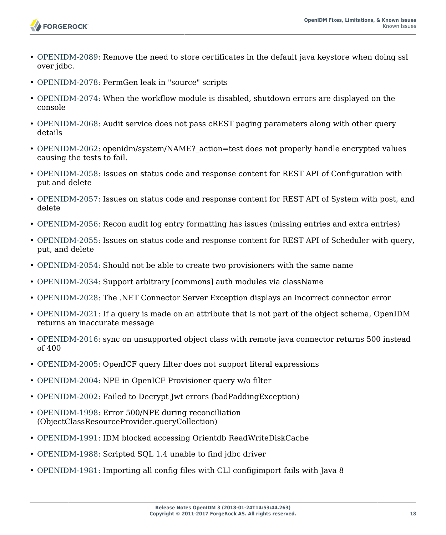

- [OPENIDM-2089:](https://bugster.forgerock.org/jira/browse/OPENIDM-2089) Remove the need to store certificates in the default java keystore when doing ssl over jdbc.
- [OPENIDM-2078:](https://bugster.forgerock.org/jira/browse/OPENIDM-2078) PermGen leak in "source" scripts
- [OPENIDM-2074:](https://bugster.forgerock.org/jira/browse/OPENIDM-2074) When the workflow module is disabled, shutdown errors are displayed on the console
- [OPENIDM-2068:](https://bugster.forgerock.org/jira/browse/OPENIDM-2068) Audit service does not pass cREST paging parameters along with other query details
- [OPENIDM-2062:](https://bugster.forgerock.org/jira/browse/OPENIDM-2062) openidm/system/NAME? action=test does not properly handle encrypted values causing the tests to fail.
- [OPENIDM-2058:](https://bugster.forgerock.org/jira/browse/OPENIDM-2058) Issues on status code and response content for REST API of Configuration with put and delete
- [OPENIDM-2057:](https://bugster.forgerock.org/jira/browse/OPENIDM-2057) Issues on status code and response content for REST API of System with post, and delete
- [OPENIDM-2056:](https://bugster.forgerock.org/jira/browse/OPENIDM-2056) Recon audit log entry formatting has issues (missing entries and extra entries)
- [OPENIDM-2055:](https://bugster.forgerock.org/jira/browse/OPENIDM-2055) Issues on status code and response content for REST API of Scheduler with query, put, and delete
- [OPENIDM-2054:](https://bugster.forgerock.org/jira/browse/OPENIDM-2054) Should not be able to create two provisioners with the same name
- [OPENIDM-2034:](https://bugster.forgerock.org/jira/browse/OPENIDM-2034) Support arbitrary [commons] auth modules via className
- [OPENIDM-2028:](https://bugster.forgerock.org/jira/browse/OPENIDM-2028) The .NET Connector Server Exception displays an incorrect connector error
- [OPENIDM-2021:](https://bugster.forgerock.org/jira/browse/OPENIDM-2021) If a query is made on an attribute that is not part of the object schema, OpenIDM returns an inaccurate message
- [OPENIDM-2016:](https://bugster.forgerock.org/jira/browse/OPENIDM-2016) sync on unsupported object class with remote java connector returns 500 instead of 400
- [OPENIDM-2005:](https://bugster.forgerock.org/jira/browse/OPENIDM-2005) OpenICF query filter does not support literal expressions
- [OPENIDM-2004:](https://bugster.forgerock.org/jira/browse/OPENIDM-2004) NPE in OpenICF Provisioner query w/o filter
- [OPENIDM-2002:](https://bugster.forgerock.org/jira/browse/OPENIDM-2002) Failed to Decrypt Jwt errors (badPaddingException)
- [OPENIDM-1998:](https://bugster.forgerock.org/jira/browse/OPENIDM-1998) Error 500/NPE during reconciliation (ObjectClassResourceProvider.queryCollection)
- [OPENIDM-1991:](https://bugster.forgerock.org/jira/browse/OPENIDM-1991) IDM blocked accessing Orientdb ReadWriteDiskCache
- [OPENIDM-1988:](https://bugster.forgerock.org/jira/browse/OPENIDM-1988) Scripted SQL 1.4 unable to find jdbc driver
- [OPENIDM-1981:](https://bugster.forgerock.org/jira/browse/OPENIDM-1981) Importing all config files with CLI configimport fails with Java 8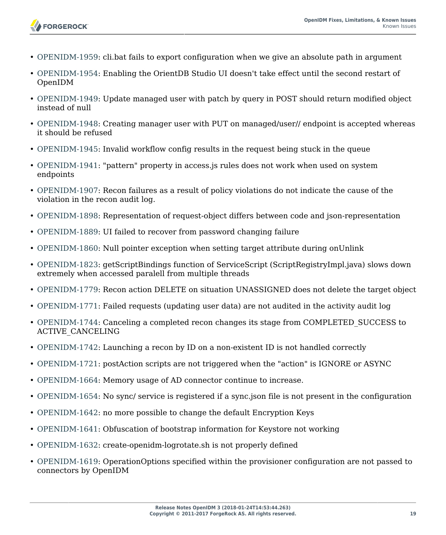

- [OPENIDM-1959:](https://bugster.forgerock.org/jira/browse/OPENIDM-1959) cli.bat fails to export configuration when we give an absolute path in argument
- [OPENIDM-1954:](https://bugster.forgerock.org/jira/browse/OPENIDM-1954) Enabling the OrientDB Studio UI doesn't take effect until the second restart of OpenIDM
- [OPENIDM-1949:](https://bugster.forgerock.org/jira/browse/OPENIDM-1949) Update managed user with patch by query in POST should return modified object instead of null
- [OPENIDM-1948:](https://bugster.forgerock.org/jira/browse/OPENIDM-1948) Creating manager user with PUT on managed/user// endpoint is accepted whereas it should be refused
- [OPENIDM-1945:](https://bugster.forgerock.org/jira/browse/OPENIDM-1945) Invalid workflow config results in the request being stuck in the queue
- [OPENIDM-1941:](https://bugster.forgerock.org/jira/browse/OPENIDM-1941) "pattern" property in access.js rules does not work when used on system endpoints
- [OPENIDM-1907:](https://bugster.forgerock.org/jira/browse/OPENIDM-1907) Recon failures as a result of policy violations do not indicate the cause of the violation in the recon audit log.
- [OPENIDM-1898:](https://bugster.forgerock.org/jira/browse/OPENIDM-1898) Representation of request-object differs between code and json-representation
- [OPENIDM-1889:](https://bugster.forgerock.org/jira/browse/OPENIDM-1889) UI failed to recover from password changing failure
- [OPENIDM-1860:](https://bugster.forgerock.org/jira/browse/OPENIDM-1860) Null pointer exception when setting target attribute during onUnlink
- [OPENIDM-1823:](https://bugster.forgerock.org/jira/browse/OPENIDM-1823) getScriptBindings function of ServiceScript (ScriptRegistryImpl.java) slows down extremely when accessed paralell from multiple threads
- [OPENIDM-1779:](https://bugster.forgerock.org/jira/browse/OPENIDM-1779) Recon action DELETE on situation UNASSIGNED does not delete the target object
- [OPENIDM-1771:](https://bugster.forgerock.org/jira/browse/OPENIDM-1771) Failed requests (updating user data) are not audited in the activity audit log
- [OPENIDM-1744:](https://bugster.forgerock.org/jira/browse/OPENIDM-1744) Canceling a completed recon changes its stage from COMPLETED\_SUCCESS to ACTIVE\_CANCELING
- [OPENIDM-1742:](https://bugster.forgerock.org/jira/browse/OPENIDM-1742) Launching a recon by ID on a non-existent ID is not handled correctly
- [OPENIDM-1721:](https://bugster.forgerock.org/jira/browse/OPENIDM-1721) postAction scripts are not triggered when the "action" is IGNORE or ASYNC
- [OPENIDM-1664:](https://bugster.forgerock.org/jira/browse/OPENIDM-1664) Memory usage of AD connector continue to increase.
- [OPENIDM-1654:](https://bugster.forgerock.org/jira/browse/OPENIDM-1654) No sync/ service is registered if a sync.json file is not present in the configuration
- [OPENIDM-1642:](https://bugster.forgerock.org/jira/browse/OPENIDM-1642) no more possible to change the default Encryption Keys
- [OPENIDM-1641:](https://bugster.forgerock.org/jira/browse/OPENIDM-1641) Obfuscation of bootstrap information for Keystore not working
- [OPENIDM-1632:](https://bugster.forgerock.org/jira/browse/OPENIDM-1632) create-openidm-logrotate.sh is not properly defined
- [OPENIDM-1619:](https://bugster.forgerock.org/jira/browse/OPENIDM-1619) OperationOptions specified within the provisioner configuration are not passed to connectors by OpenIDM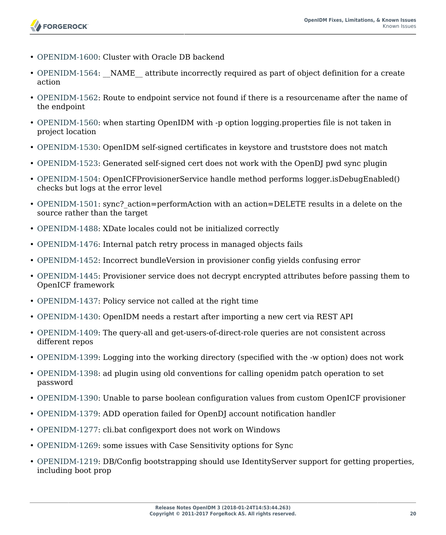- [OPENIDM-1600:](https://bugster.forgerock.org/jira/browse/OPENIDM-1600) Cluster with Oracle DB backend
- [OPENIDM-1564:](https://bugster.forgerock.org/jira/browse/OPENIDM-1564) NAME attribute incorrectly required as part of object definition for a create action
- [OPENIDM-1562:](https://bugster.forgerock.org/jira/browse/OPENIDM-1562) Route to endpoint service not found if there is a resourcename after the name of the endpoint
- [OPENIDM-1560:](https://bugster.forgerock.org/jira/browse/OPENIDM-1560) when starting OpenIDM with -p option logging.properties file is not taken in project location
- [OPENIDM-1530:](https://bugster.forgerock.org/jira/browse/OPENIDM-1530) OpenIDM self-signed certificates in keystore and truststore does not match
- [OPENIDM-1523:](https://bugster.forgerock.org/jira/browse/OPENIDM-1523) Generated self-signed cert does not work with the OpenDJ pwd sync plugin
- [OPENIDM-1504:](https://bugster.forgerock.org/jira/browse/OPENIDM-1504) OpenICFProvisionerService handle method performs logger.isDebugEnabled() checks but logs at the error level
- [OPENIDM-1501:](https://bugster.forgerock.org/jira/browse/OPENIDM-1501) sync? action=performAction with an action=DELETE results in a delete on the source rather than the target
- [OPENIDM-1488:](https://bugster.forgerock.org/jira/browse/OPENIDM-1488) XDate locales could not be initialized correctly
- [OPENIDM-1476:](https://bugster.forgerock.org/jira/browse/OPENIDM-1476) Internal patch retry process in managed objects fails
- [OPENIDM-1452:](https://bugster.forgerock.org/jira/browse/OPENIDM-1452) Incorrect bundleVersion in provisioner config yields confusing error
- [OPENIDM-1445:](https://bugster.forgerock.org/jira/browse/OPENIDM-1445) Provisioner service does not decrypt encrypted attributes before passing them to OpenICF framework
- [OPENIDM-1437:](https://bugster.forgerock.org/jira/browse/OPENIDM-1437) Policy service not called at the right time
- [OPENIDM-1430:](https://bugster.forgerock.org/jira/browse/OPENIDM-1430) OpenIDM needs a restart after importing a new cert via REST API
- [OPENIDM-1409:](https://bugster.forgerock.org/jira/browse/OPENIDM-1409) The query-all and get-users-of-direct-role queries are not consistent across different repos
- [OPENIDM-1399:](https://bugster.forgerock.org/jira/browse/OPENIDM-1399) Logging into the working directory (specified with the -w option) does not work
- [OPENIDM-1398:](https://bugster.forgerock.org/jira/browse/OPENIDM-1398) ad plugin using old conventions for calling openidm patch operation to set password
- [OPENIDM-1390:](https://bugster.forgerock.org/jira/browse/OPENIDM-1390) Unable to parse boolean configuration values from custom OpenICF provisioner
- [OPENIDM-1379:](https://bugster.forgerock.org/jira/browse/OPENIDM-1379) ADD operation failed for OpenDJ account notification handler
- [OPENIDM-1277:](https://bugster.forgerock.org/jira/browse/OPENIDM-1277) cli.bat configexport does not work on Windows
- [OPENIDM-1269:](https://bugster.forgerock.org/jira/browse/OPENIDM-1269) some issues with Case Sensitivity options for Sync
- [OPENIDM-1219:](https://bugster.forgerock.org/jira/browse/OPENIDM-1219) DB/Config bootstrapping should use IdentityServer support for getting properties, including boot prop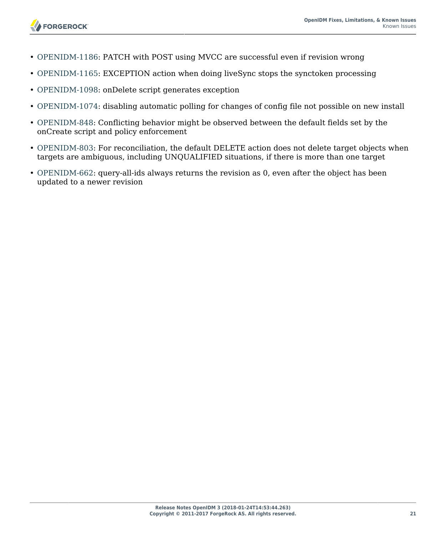

- [OPENIDM-1186:](https://bugster.forgerock.org/jira/browse/OPENIDM-1186) PATCH with POST using MVCC are successful even if revision wrong
- [OPENIDM-1165:](https://bugster.forgerock.org/jira/browse/OPENIDM-1165) EXCEPTION action when doing liveSync stops the synctoken processing
- [OPENIDM-1098:](https://bugster.forgerock.org/jira/browse/OPENIDM-1098) onDelete script generates exception
- [OPENIDM-1074:](https://bugster.forgerock.org/jira/browse/OPENIDM-1074) disabling automatic polling for changes of config file not possible on new install
- [OPENIDM-848](https://bugster.forgerock.org/jira/browse/OPENIDM-848): Conflicting behavior might be observed between the default fields set by the onCreate script and policy enforcement
- [OPENIDM-803](https://bugster.forgerock.org/jira/browse/OPENIDM-803): For reconciliation, the default DELETE action does not delete target objects when targets are ambiguous, including UNQUALIFIED situations, if there is more than one target
- [OPENIDM-662](https://bugster.forgerock.org/jira/browse/OPENIDM-662): query-all-ids always returns the revision as 0, even after the object has been updated to a newer revision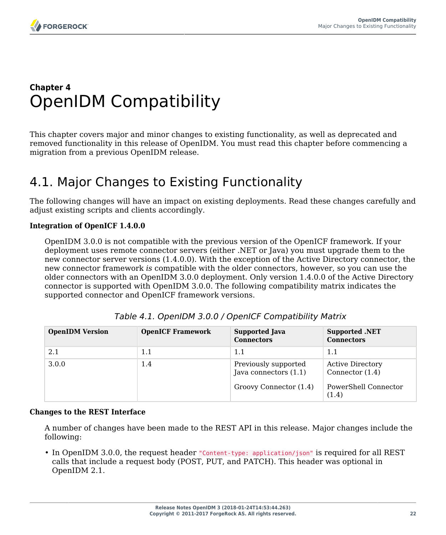### <span id="page-24-0"></span>**Chapter 4** OpenIDM Compatibility

This chapter covers major and minor changes to existing functionality, as well as deprecated and removed functionality in this release of OpenIDM. You must read this chapter before commencing a migration from a previous OpenIDM release.

### <span id="page-24-1"></span>4.1. Major Changes to Existing Functionality

The following changes will have an impact on existing deployments. Read these changes carefully and adjust existing scripts and clients accordingly.

### **Integration of OpenICF 1.4.0.0**

OpenIDM 3.0.0 is not compatible with the previous version of the OpenICF framework. If your deployment uses remote connector servers (either .NET or Java) you must upgrade them to the new connector server versions (1.4.0.0). With the exception of the Active Directory connector, the new connector framework *is* compatible with the older connectors, however, so you can use the older connectors with an OpenIDM 3.0.0 deployment. Only version 1.4.0.0 of the Active Directory connector is supported with OpenIDM 3.0.0. The following compatibility matrix indicates the supported connector and OpenICF framework versions.

| <b>OpenIDM Version</b> | <b>OpenICF Framework</b> | <b>Supported Java</b><br><b>Connectors</b>                                | <b>Supported .NET</b><br><b>Connectors</b>                                    |
|------------------------|--------------------------|---------------------------------------------------------------------------|-------------------------------------------------------------------------------|
| 2.1                    | 1.1                      | 1.1                                                                       | 1.1                                                                           |
| 3.0.0                  | 1.4                      | Previously supported<br>Java connectors $(1.1)$<br>Groovy Connector (1.4) | <b>Active Directory</b><br>Connector $(1.4)$<br>PowerShell Connector<br>(1.4) |

### **Changes to the REST Interface**

A number of changes have been made to the REST API in this release. Major changes include the following:

• In OpenIDM 3.0.0, the request header "Content-type: application/json" is required for all REST calls that include a request body (POST, PUT, and PATCH). This header was optional in OpenIDM 2.1.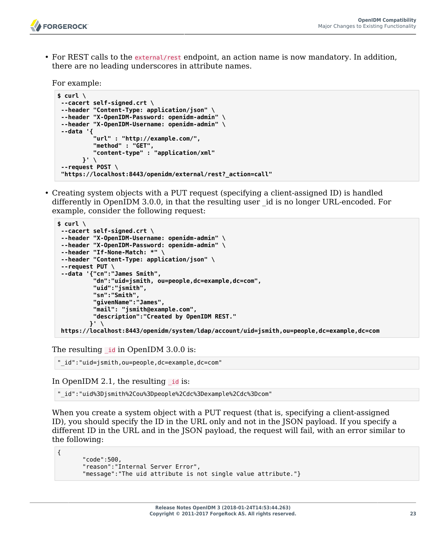

• For REST calls to the external/rest endpoint, an action name is now mandatory. In addition, there are no leading underscores in attribute names.

For example:

```
$ curl \
--cacert self-signed.crt \
--header "Content-Type: application/json" \
--header "X-OpenIDM-Password: openidm-admin" \
--header "X-OpenIDM-Username: openidm-admin" \
--data '{
          "url" : "http://example.com/",
 "method" : "GET",
 "content-type" : "application/xml"
       }' \
 --request POST \
 "https://localhost:8443/openidm/external/rest?_action=call"
```
• Creating system objects with a PUT request (specifying a client-assigned ID) is handled differently in OpenIDM 3.0.0, in that the resulting user \_id is no longer URL-encoded. For example, consider the following request:

```
$ curl \
--cacert self-signed.crt \
--header "X-OpenIDM-Username: openidm-admin" \
--header "X-OpenIDM-Password: openidm-admin" \
--header "If-None-Match: *" \
--header "Content-Type: application/json" \
--request PUT \
--data '{"cn":"James Smith",
           "dn":"uid=jsmith, ou=people,dc=example,dc=com",
           "uid":"jsmith",
           "sn":"Smith",
           "givenName":"James",
           "mail": "jsmith@example.com",
           "description":"Created by OpenIDM REST."
          }' \
 https://localhost:8443/openidm/system/ldap/account/uid=jsmith,ou=people,dc=example,dc=com
```
The resulting  $\overline{\text{id}}$  in OpenIDM 3.0.0 is:

"\_id":"uid=jsmith,ou=people,dc=example,dc=com"

In OpenIDM 2.1, the resulting id is:

{

"\_id":"uid%3Djsmith%2Cou%3Dpeople%2Cdc%3Dexample%2Cdc%3Dcom"

When you create a system object with a PUT request (that is, specifying a client-assigned ID), you should specify the ID in the URL only and not in the JSON payload. If you specify a different ID in the URL and in the JSON payload, the request will fail, with an error similar to the following:

```
 "code":500,
 "reason":"Internal Server Error",
 "message":"The uid attribute is not single value attribute."}
```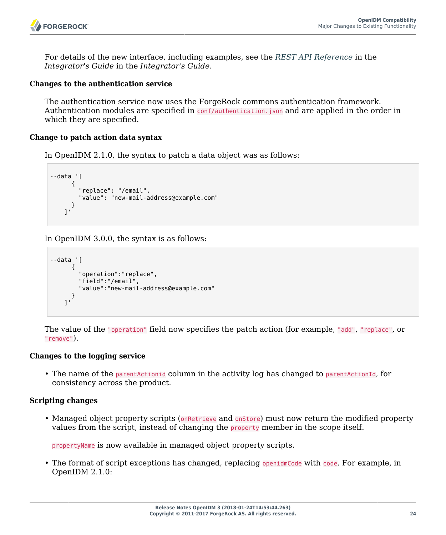

For details of the new interface, including examples, see the *REST API Reference* in the *Integrator's Guide* in the *Integrator's Guide*.

### **Changes to the authentication service**

The authentication service now uses the ForgeRock commons authentication framework. Authentication modules are specified in conf/authentication.json and are applied in the order in which they are specified.

### **Change to patch action data syntax**

In OpenIDM 2.1.0, the syntax to patch a data object was as follows:

```
--data '[
       {
          "replace": "/email",
          "value": "new-mail-address@example.com"
       }
     ]'
```
In OpenIDM 3.0.0, the syntax is as follows:

```
--data '[
      {
         "operation":"replace",
         "field":"/email",
         "value":"new-mail-address@example.com"
 }
 ]'
```
The value of the "operation" field now specifies the patch action (for example, "add", "replace", or "remove").

#### **Changes to the logging service**

• The name of the parentActionid column in the activity log has changed to parentActionId, for consistency across the product.

### **Scripting changes**

• Managed object property scripts (onRetrieve and onStore) must now return the modified property values from the script, instead of changing the property member in the scope itself.

propertyName is now available in managed object property scripts.

• The format of script exceptions has changed, replacing openidmCode with code. For example, in OpenIDM 2.1.0: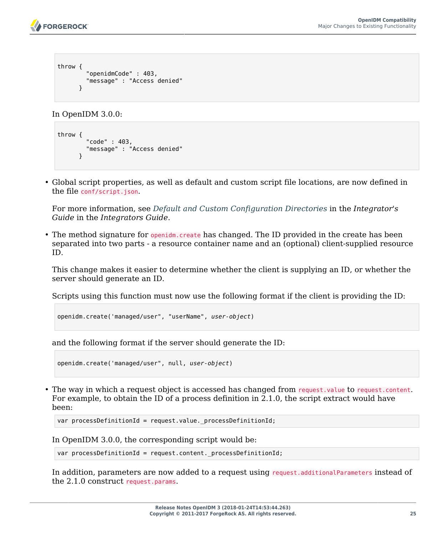```
throw {
         "openidmCode" : 403,
         "message" : "Access denied"
       }
```
In OpenIDM 3.0.0:

```
throw {
         "code" : 403,
          "message" : "Access denied"
       }
```
• Global script properties, as well as default and custom script file locations, are now defined in the file conf/script.json.

For more information, see *Default and Custom Configuration Directories* in the *Integrator's Guide* in the *Integrators Guide*.

• The method signature for openidm.create has changed. The ID provided in the create has been separated into two parts - a resource container name and an (optional) client-supplied resource ID.

This change makes it easier to determine whether the client is supplying an ID, or whether the server should generate an ID.

Scripts using this function must now use the following format if the client is providing the ID:

```
openidm.create('managed/user", "userName", user-object)
```
and the following format if the server should generate the ID:

```
openidm.create('managed/user", null, user-object)
```
• The way in which a request object is accessed has changed from request.value to request.content. For example, to obtain the ID of a process definition in 2.1.0, the script extract would have been:

```
var processDefinitionId = request.value. processDefinitionId;
```
In OpenIDM 3.0.0, the corresponding script would be:

```
var processDefinitionId = request.content. processDefinitionId;
```
In addition, parameters are now added to a request using request.additionalParameters instead of the 2.1.0 construct request.params.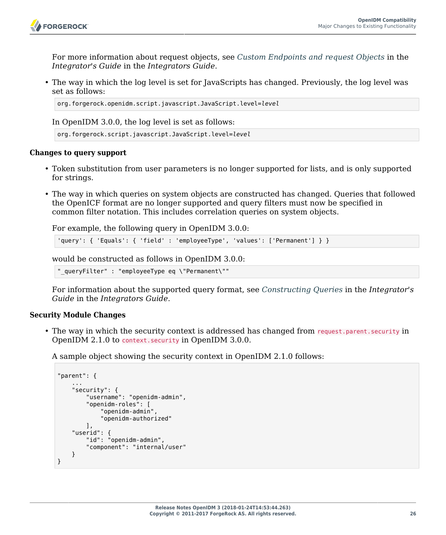

For more information about request objects, see *Custom Endpoints and request Objects* in the *Integrator's Guide* in the *Integrators Guide*.

• The way in which the log level is set for JavaScripts has changed. Previously, the log level was set as follows:

```
org.forgerock.openidm.script.javascript.JavaScript.level=level
```
In OpenIDM 3.0.0, the log level is set as follows:

```
org.forgerock.script.javascript.JavaScript.level=level
```
### **Changes to query support**

- Token substitution from user parameters is no longer supported for lists, and is only supported for strings.
- The way in which queries on system objects are constructed has changed. Queries that followed the OpenICF format are no longer supported and query filters must now be specified in common filter notation. This includes correlation queries on system objects.

For example, the following query in OpenIDM 3.0.0:

```
'query': { 'Equals': { 'field' : 'employeeType', 'values': ['Permanent'] } }
```
would be constructed as follows in OpenIDM 3.0.0:

"\_queryFilter" : "employeeType eq \"Permanent\""

For information about the supported query format, see *Constructing Queries* in the *Integrator's Guide* in the *Integrators Guide*.

### **Security Module Changes**

• The way in which the security context is addressed has changed from request.parent.security in OpenIDM 2.1.0 to context.security in OpenIDM 3.0.0.

A sample object showing the security context in OpenIDM 2.1.0 follows:

```
"parent": {
 ...
     "security": {
         "username": "openidm-admin",
         "openidm-roles": [
              "openidm-admin",
              "openidm-authorized"
         ],
     "userid": {
         "id": "openidm-admin",
         "component": "internal/user"
     }
}
```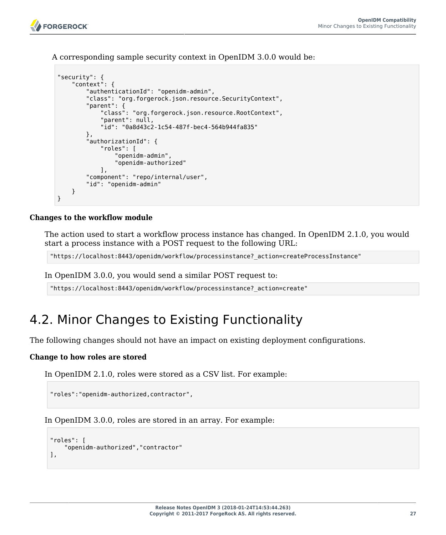A corresponding sample security context in OpenIDM 3.0.0 would be:

```
"security": {
     "context": {
         "authenticationId": "openidm-admin",
         "class": "org.forgerock.json.resource.SecurityContext",
         "parent": {
              "class": "org.forgerock.json.resource.RootContext",
              "parent": null,
              "id": "0a8d43c2-1c54-487f-bec4-564b944fa835"
         },
          "authorizationId": {
              "roles": [
                  "openidm-admin",
                  "openidm-authorized"
              ],
         "component": "repo/internal/user",
         "id": "openidm-admin"
     }
}
```
### **Changes to the workflow module**

The action used to start a workflow process instance has changed. In OpenIDM 2.1.0, you would start a process instance with a POST request to the following URL:

"https://localhost:8443/openidm/workflow/processinstance?\_action=createProcessInstance"

In OpenIDM 3.0.0, you would send a similar POST request to:

"https://localhost:8443/openidm/workflow/processinstance?\_action=create"

### <span id="page-29-0"></span>4.2. Minor Changes to Existing Functionality

The following changes should not have an impact on existing deployment configurations.

### **Change to how roles are stored**

In OpenIDM 2.1.0, roles were stored as a CSV list. For example:

"roles":"openidm-authorized,contractor",

In OpenIDM 3.0.0, roles are stored in an array. For example:

```
"roles": [
     "openidm-authorized","contractor"
],
```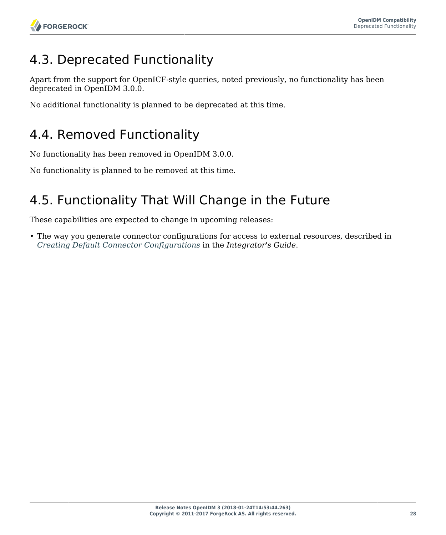# <span id="page-30-0"></span>4.3. Deprecated Functionality

Apart from the support for OpenICF-style queries, noted previously, no functionality has been deprecated in OpenIDM 3.0.0.

<span id="page-30-1"></span>No additional functionality is planned to be deprecated at this time.

# 4.4. Removed Functionality

No functionality has been removed in OpenIDM 3.0.0.

<span id="page-30-2"></span>No functionality is planned to be removed at this time.

# 4.5. Functionality That Will Change in the Future

These capabilities are expected to change in upcoming releases:

• The way you generate connector configurations for access to external resources, described in *Creating Default Connector Configurations* in the *Integrator's Guide*.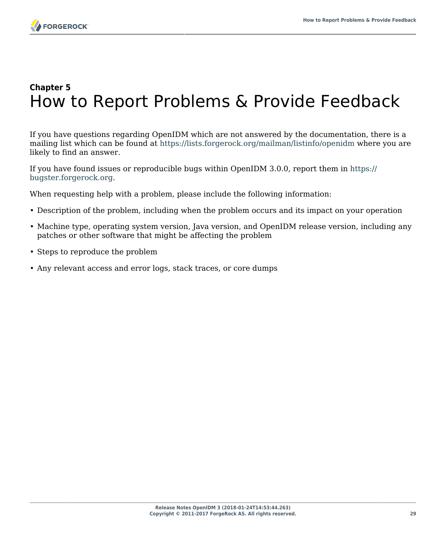# <span id="page-31-0"></span>**Chapter 5** How to Report Problems & Provide Feedback

If you have questions regarding OpenIDM which are not answered by the documentation, there is a mailing list which can be found at <https://lists.forgerock.org/mailman/listinfo/openidm> where you are likely to find an answer.

If you have found issues or reproducible bugs within OpenIDM 3.0.0, report them in [https://](https://bugster.forgerock.org) [bugster.forgerock.org.](https://bugster.forgerock.org)

When requesting help with a problem, please include the following information:

- Description of the problem, including when the problem occurs and its impact on your operation
- Machine type, operating system version, Java version, and OpenIDM release version, including any patches or other software that might be affecting the problem
- Steps to reproduce the problem
- Any relevant access and error logs, stack traces, or core dumps